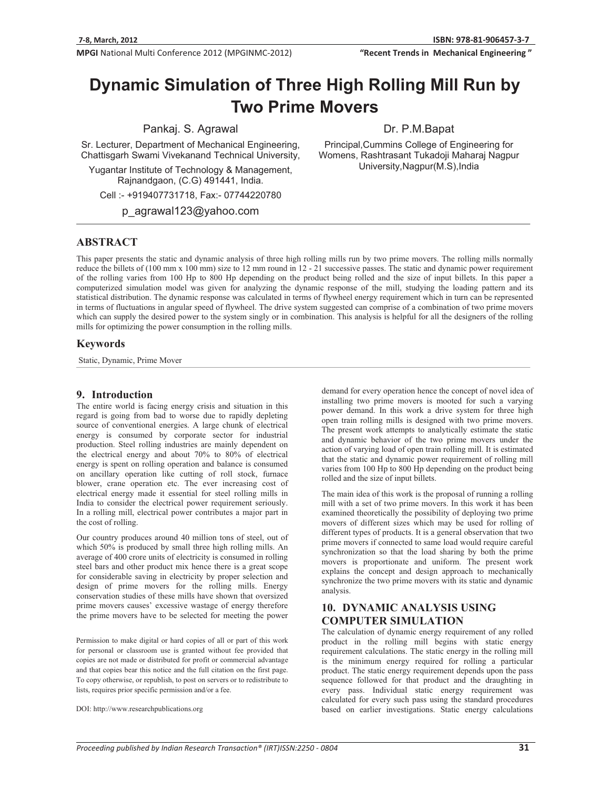MPGI National Multi Conference 2012 (MPGINMC-2012)

"Recent Trends in Mechanical Engineering"

# **Dynamic Simulation of Three High Rolling Mill Run by Two Prime Movers**

Pankaj. S. Agrawal

Sr. Lecturer, Department of Mechanical Engineering, Chattisgarh Swami Vivekanand Technical University,

Yugantar Institute of Technology & Management, Rajnandgaon, (C.G) 491441, India.

Cell :- +919407731718, Fax:- 07744220780

p\_agrawal123@yahoo.com

Dr. P.M.Bapat

Principal,Cummins College of Engineering for Womens, Rashtrasant Tukadoji Maharaj Nagpur University,Nagpur(M.S),India

## **ABSTRACT**

This paper presents the static and dynamic analysis of three high rolling mills run by two prime movers. The rolling mills normally reduce the billets of (100 mm x 100 mm) size to 12 mm round in 12 - 21 successive passes. The static and dynamic power requirement of the rolling varies from 100 Hp to 800 Hp depending on the product being rolled and the size of input billets. In this paper a computerized simulation model was given for analyzing the dynamic response of the mill, studying the loading pattern and its statistical distribution. The dynamic response was calculated in terms of flywheel energy requirement which in turn can be represented in terms of fluctuations in angular speed of flywheel. The drive system suggested can comprise of a combination of two prime movers which can supply the desired power to the system singly or in combination. This analysis is helpful for all the designers of the rolling mills for optimizing the power consumption in the rolling mills.

#### **Keywords**

Static, Dynamic, Prime Mover

#### **9. Introduction**

The entire world is facing energy crisis and situation in this regard is going from bad to worse due to rapidly depleting source of conventional energies. A large chunk of electrical energy is consumed by corporate sector for industrial production. Steel rolling industries are mainly dependent on the electrical energy and about 70% to 80% of electrical energy is spent on rolling operation and balance is consumed on ancillary operation like cutting of roll stock, furnace blower, crane operation etc. The ever increasing cost of electrical energy made it essential for steel rolling mills in India to consider the electrical power requirement seriously. In a rolling mill, electrical power contributes a major part in the cost of rolling.

Our country produces around 40 million tons of steel, out of which 50% is produced by small three high rolling mills. An average of 400 crore units of electricity is consumed in rolling steel bars and other product mix hence there is a great scope for considerable saving in electricity by proper selection and design of prime movers for the rolling mills. Energy conservation studies of these mills have shown that oversized prime movers causes' excessive wastage of energy therefore the prime movers have to be selected for meeting the power

Permission to make digital or hard copies of all or part of this work for personal or classroom use is granted without fee provided that copies are not made or distributed for profit or commercial advantage and that copies bear this notice and the full citation on the first page. To copy otherwise, or republish, to post on servers or to redistribute to lists, requires prior specific permission and/or a fee.

DOI: http://www.researchpublications.org

demand for every operation hence the concept of novel idea of installing two prime movers is mooted for such a varying power demand. In this work a drive system for three high open train rolling mills is designed with two prime movers. The present work attempts to analytically estimate the static and dynamic behavior of the two prime movers under the action of varying load of open train rolling mill. It is estimated that the static and dynamic power requirement of rolling mill varies from 100 Hp to 800 Hp depending on the product being rolled and the size of input billets.

The main idea of this work is the proposal of running a rolling mill with a set of two prime movers. In this work it has been examined theoretically the possibility of deploying two prime movers of different sizes which may be used for rolling of different types of products. It is a general observation that two prime movers if connected to same load would require careful synchronization so that the load sharing by both the prime movers is proportionate and uniform. The present work explains the concept and design approach to mechanically synchronize the two prime movers with its static and dynamic analysis.

## **10. DYNAMIC ANALYSIS USING COMPUTER SIMULATION**

The calculation of dynamic energy requirement of any rolled product in the rolling mill begins with static energy requirement calculations. The static energy in the rolling mill is the minimum energy required for rolling a particular product. The static energy requirement depends upon the pass sequence followed for that product and the draughting in every pass. Individual static energy requirement was calculated for every such pass using the standard procedures based on earlier investigations. Static energy calculations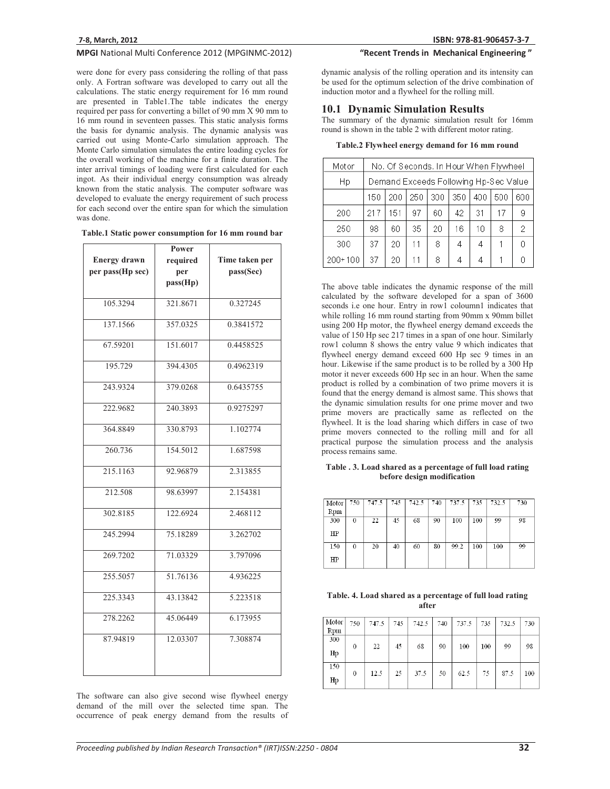## MPGI National Multi Conference 2012 (MPGINMC-2012)

were done for every pass considering the rolling of that pass only. A Fortran software was developed to carry out all the calculations. The static energy requirement for 16 mm round are presented in Table1.The table indicates the energy required per pass for converting a billet of 90 mm X 90 mm to 16 mm round in seventeen passes. This static analysis forms the basis for dynamic analysis. The dynamic analysis was carried out using Monte-Carlo simulation approach. The Monte Carlo simulation simulates the entire loading cycles for the overall working of the machine for a finite duration. The inter arrival timings of loading were first calculated for each ingot. As their individual energy consumption was already known from the static analysis. The computer software was developed to evaluate the energy requirement of such process for each second over the entire span for which the simulation was done.

|  |  |  |  | Table.1 Static power consumption for 16 mm round bar |
|--|--|--|--|------------------------------------------------------|
|--|--|--|--|------------------------------------------------------|

|                     | Power    |                |  |  |
|---------------------|----------|----------------|--|--|
| <b>Energy drawn</b> | required | Time taken per |  |  |
| per pass(Hp sec)    | per      | pass(Sec)      |  |  |
|                     | pass(Hp) |                |  |  |
|                     |          |                |  |  |
| 105.3294            | 321.8671 | 0.327245       |  |  |
|                     |          |                |  |  |
| 137.1566            | 357.0325 | 0.3841572      |  |  |
| 67.59201            | 151.6017 | 0.4458525      |  |  |
| 195.729             | 394.4305 | 0.4962319      |  |  |
| 243.9324            | 379.0268 | 0.6435755      |  |  |
| 222.9682            | 240.3893 | 0.9275297      |  |  |
| 364.8849            | 330.8793 | 1.102774       |  |  |
| 260.736             | 154.5012 | 1.687598       |  |  |
| 215.1163            | 92.96879 | 2.313855       |  |  |
| 212.508             | 98.63997 | 2.154381       |  |  |
| 302.8185            | 122.6924 | 2.468112       |  |  |
| 245.2994            | 75.18289 | 3.262702       |  |  |
| 269.7202            | 71.03329 | 3.797096       |  |  |
| 255.5057            | 51.76136 | 4.936225       |  |  |
| 225.3343            | 43.13842 | 5.223518       |  |  |
| 278.2262            | 45.06449 | 6.173955       |  |  |
| 87.94819            | 12.03307 | 7.308874       |  |  |

The software can also give second wise flywheel energy demand of the mill over the selected time span. The occurrence of peak energy demand from the results of

## "Recent Trends in Mechanical Engineering"

dynamic analysis of the rolling operation and its intensity can be used for the optimum selection of the drive combination of induction motor and a flywheel for the rolling mill.

## **10.1 Dynamic Simulation Results**

The summary of the dynamic simulation result for 16mm round is shown in the table 2 with different motor rating.

| Table.2 Flywheel energy demand for 16 mm round |  |  |  |  |
|------------------------------------------------|--|--|--|--|
|------------------------------------------------|--|--|--|--|

| Motor       | No. Of Seconds. In Hour When Flywheel |                                               |    |    |    |    |    |   |  |
|-------------|---------------------------------------|-----------------------------------------------|----|----|----|----|----|---|--|
| Нp          |                                       | Demand Exceeds Following Hp-Sec Value         |    |    |    |    |    |   |  |
|             | 150                                   | 300<br>350<br>250<br>400<br>500<br>200<br>600 |    |    |    |    |    |   |  |
| 200         | 217                                   | 151                                           | 97 | 60 | 42 | 31 | 17 | 9 |  |
| 250         | 98                                    | 60                                            | 35 | 20 | 16 | 10 | 8  | 2 |  |
| 300         | 37                                    | 20                                            | 11 | 8  | 4  | 4  |    | n |  |
| $200 + 100$ | 37                                    | 20                                            | 11 | 8  | 4  | 4  |    | n |  |

The above table indicates the dynamic response of the mill calculated by the software developed for a span of 3600 seconds i.e one hour. Entry in row1 coloumn1 indicates that while rolling 16 mm round starting from 90mm x 90mm billet using 200 Hp motor, the flywheel energy demand exceeds the value of 150 Hp sec 217 times in a span of one hour. Similarly row1 column 8 shows the entry value 9 which indicates that flywheel energy demand exceed 600 Hp sec 9 times in an hour. Likewise if the same product is to be rolled by a 300 Hp motor it never exceeds 600 Hp sec in an hour. When the same product is rolled by a combination of two prime movers it is found that the energy demand is almost same. This shows that the dynamic simulation results for one prime mover and two prime movers are practically same as reflected on the flywheel. It is the load sharing which differs in case of two prime movers connected to the rolling mill and for all practical purpose the simulation process and the analysis process remains same.

**Table . 3. Load shared as a percentage of full load rating before design modification** 

| Motor<br>Rpm | 750 | 747.5 | 745 | 742.5 | 740 | 737.5 | 735 | 732.5 | 730 |
|--------------|-----|-------|-----|-------|-----|-------|-----|-------|-----|
| 300          | 0   | 22    | 45  | 68    | 90  | 100   | 100 | 99    | 98  |
| HP           |     |       |     |       |     |       |     |       |     |
| 150          | 0   | 20    | 40  | 60    | 80  | 99.2  | 100 | 100   | 99  |
| $_{\rm HP}$  |     |       |     |       |     |       |     |       |     |

**Table. 4. Load shared as a percentage of full load rating after** 

| Motor  <br>Rpm | 750      | 747.5 | 745 | 742.5 | 740 | 737.5 | 735 | 732.5 | 730 |
|----------------|----------|-------|-----|-------|-----|-------|-----|-------|-----|
| 300<br>Hp      | $\theta$ | 22    | 45  | 68    | 90  | 100   | 100 | 99    | 98  |
| 150<br>Hp      | $\theta$ | 12.5  | 25  | 37.5  | 50  | 62.5  | 75  | 87.5  | 100 |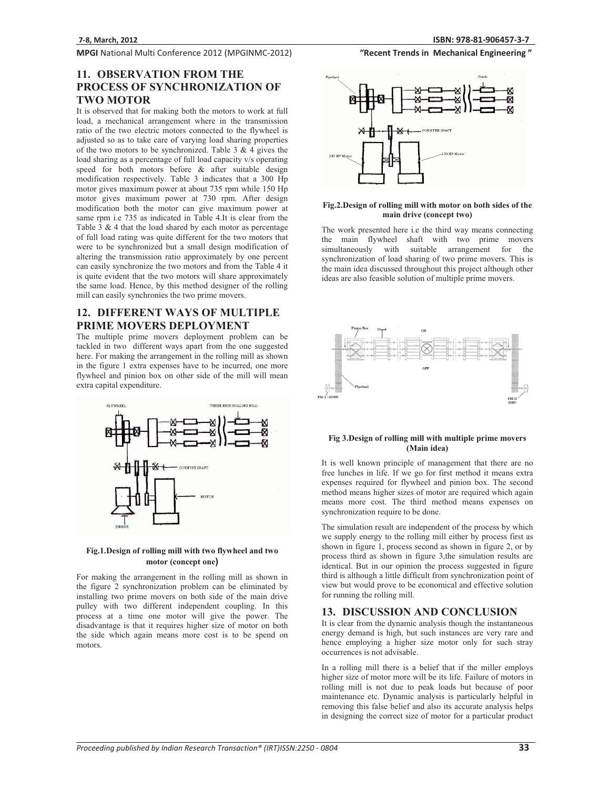## MPGI National Multi Conference 2012 (MPGINMC-2012)

## "Recent Trends in Mechanical Engineering"

## **11. OBSERVATION FROM THE PROCESS OF SYNCHRONIZATION OF TWO MOTOR**

It is observed that for making both the motors to work at full load, a mechanical arrangement where in the transmission ratio of the two electric motors connected to the flywheel is adjusted so as to take care of varying load sharing properties of the two motors to be synchronized. Table  $3 \& 4$  gives the load sharing as a percentage of full load capacity v/s operating speed for both motors before & after suitable design modification respectively. Table 3 indicates that a 300 Hp motor gives maximum power at about 735 rpm while 150 Hp motor gives maximum power at 730 rpm. After design modification both the motor can give maximum power at same rpm i.e 735 as indicated in Table 4.It is clear from the Table 3 & 4 that the load shared by each motor as percentage of full load rating was quite different for the two motors that were to be synchronized but a small design modification of altering the transmission ratio approximately by one percent can easily synchronize the two motors and from the Table 4 it is quite evident that the two motors will share approximately the same load. Hence, by this method designer of the rolling mill can easily synchronies the two prime movers.

## **12. DIFFERENT WAYS OF MULTIPLE PRIME MOVERS DEPLOYMENT**

The multiple prime movers deployment problem can be tackled in two different ways apart from the one suggested here. For making the arrangement in the rolling mill as shown in the figure 1 extra expenses have to be incurred, one more flywheel and pinion box on other side of the mill will mean extra capital expenditure.



#### **Fig.1.Design of rolling mill with two flywheel and two motor (concept one)**

For making the arrangement in the rolling mill as shown in the figure 2 synchronization problem can be eliminated by installing two prime movers on both side of the main drive pulley with two different independent coupling. In this process at a time one motor will give the power. The disadvantage is that it requires higher size of motor on both the side which again means more cost is to be spend on motors.



#### **Fig.2.Design of rolling mill with motor on both sides of the main drive (concept two)**

The work presented here i.e the third way means connecting the main flywheel shaft with two prime movers simultaneously with suitable arrangement for the synchronization of load sharing of two prime movers. This is the main idea discussed throughout this project although other ideas are also feasible solution of multiple prime movers.



#### **Fig 3.Design of rolling mill with multiple prime movers (Main idea)**

It is well known principle of management that there are no free lunches in life. If we go for first method it means extra expenses required for flywheel and pinion box. The second method means higher sizes of motor are required which again means more cost. The third method means expenses on synchronization require to be done.

The simulation result are independent of the process by which we supply energy to the rolling mill either by process first as shown in figure 1, process second as shown in figure 2, or by process third as shown in figure 3,the simulation results are identical. But in our opinion the process suggested in figure third is although a little difficult from synchronization point of view but would prove to be economical and effective solution for running the rolling mill.

#### **13. DISCUSSION AND CONCLUSION**

It is clear from the dynamic analysis though the instantaneous energy demand is high, but such instances are very rare and hence employing a higher size motor only for such stray occurrences is not advisable.

In a rolling mill there is a belief that if the miller employs higher size of motor more will be its life. Failure of motors in rolling mill is not due to peak loads but because of poor maintenance etc. Dynamic analysis is particularly helpful in removing this false belief and also its accurate analysis helps in designing the correct size of motor for a particular product